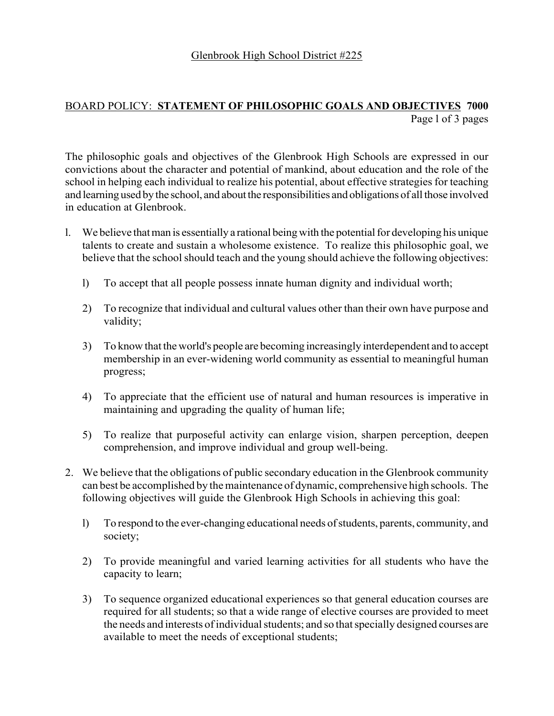## BOARD POLICY: **STATEMENT OF PHILOSOPHIC GOALS AND OBJECTIVES 7000** Page l of 3 pages

The philosophic goals and objectives of the Glenbrook High Schools are expressed in our convictions about the character and potential of mankind, about education and the role of the school in helping each individual to realize his potential, about effective strategies for teaching and learning used by the school, and about the responsibilities and obligations of all those involved in education at Glenbrook.

- l. We believe that man is essentially a rational being with the potential for developing his unique talents to create and sustain a wholesome existence. To realize this philosophic goal, we believe that the school should teach and the young should achieve the following objectives:
	- l) To accept that all people possess innate human dignity and individual worth;
	- 2) To recognize that individual and cultural values other than their own have purpose and validity;
	- 3) To know that the world's people are becoming increasingly interdependent and to accept membership in an ever-widening world community as essential to meaningful human progress;
	- 4) To appreciate that the efficient use of natural and human resources is imperative in maintaining and upgrading the quality of human life;
	- 5) To realize that purposeful activity can enlarge vision, sharpen perception, deepen comprehension, and improve individual and group well-being.
- 2. We believe that the obligations of public secondary education in the Glenbrook community can best be accomplished by the maintenance of dynamic, comprehensive high schools. The following objectives will guide the Glenbrook High Schools in achieving this goal:
	- l) To respond to the ever-changing educational needs of students, parents, community, and society;
	- 2) To provide meaningful and varied learning activities for all students who have the capacity to learn;
	- 3) To sequence organized educational experiences so that general education courses are required for all students; so that a wide range of elective courses are provided to meet the needs and interests of individual students; and so that specially designed courses are available to meet the needs of exceptional students;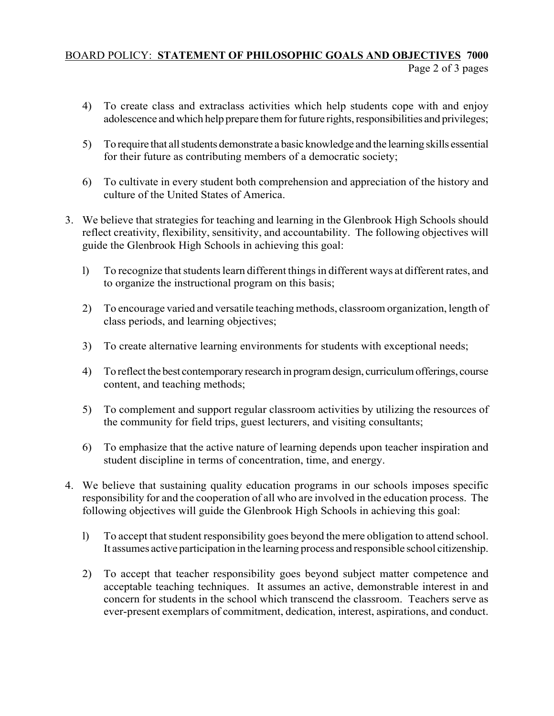## BOARD POLICY: **STATEMENT OF PHILOSOPHIC GOALS AND OBJECTIVES 7000** Page 2 of 3 pages

- 4) To create class and extraclass activities which help students cope with and enjoy adolescence and which help prepare them for future rights, responsibilities and privileges;
- 5) To require that all students demonstrate a basic knowledge and the learning skills essential for their future as contributing members of a democratic society;
- 6) To cultivate in every student both comprehension and appreciation of the history and culture of the United States of America.
- 3. We believe that strategies for teaching and learning in the Glenbrook High Schools should reflect creativity, flexibility, sensitivity, and accountability. The following objectives will guide the Glenbrook High Schools in achieving this goal:
	- l) To recognize that students learn different things in different ways at different rates, and to organize the instructional program on this basis;
	- 2) To encourage varied and versatile teaching methods, classroom organization, length of class periods, and learning objectives;
	- 3) To create alternative learning environments for students with exceptional needs;
	- 4) To reflect the best contemporary research in program design, curriculum offerings, course content, and teaching methods;
	- 5) To complement and support regular classroom activities by utilizing the resources of the community for field trips, guest lecturers, and visiting consultants;
	- 6) To emphasize that the active nature of learning depends upon teacher inspiration and student discipline in terms of concentration, time, and energy.
- 4. We believe that sustaining quality education programs in our schools imposes specific responsibility for and the cooperation of all who are involved in the education process. The following objectives will guide the Glenbrook High Schools in achieving this goal:
	- l) To accept that student responsibility goes beyond the mere obligation to attend school. It assumes active participation in the learning process and responsible school citizenship.
	- 2) To accept that teacher responsibility goes beyond subject matter competence and acceptable teaching techniques. It assumes an active, demonstrable interest in and concern for students in the school which transcend the classroom. Teachers serve as ever-present exemplars of commitment, dedication, interest, aspirations, and conduct.